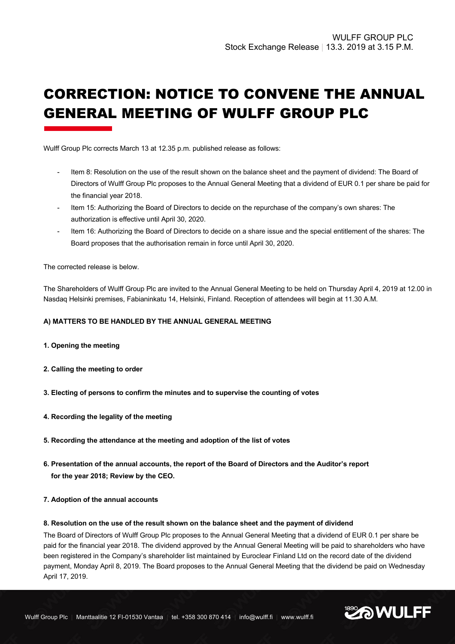# CORRECTION: NOTICE TO CONVENE THE ANNUAL GENERAL MEETING OF WULFF GROUP PLC

Wulff Group Plc corrects March 13 at 12.35 p.m. published release as follows:

- Item 8: Resolution on the use of the result shown on the balance sheet and the payment of dividend: The Board of Directors of Wulff Group Plc proposes to the Annual General Meeting that a dividend of EUR 0.1 per share be paid for the financial year 2018.
- Item 15: Authorizing the Board of Directors to decide on the repurchase of the company's own shares: The authorization is effective until April 30, 2020.
- Item 16: Authorizing the Board of Directors to decide on a share issue and the special entitlement of the shares: The Board proposes that the authorisation remain in force until April 30, 2020.

The corrected release is below.

The Shareholders of Wulff Group Plc are invited to the Annual General Meeting to be held on Thursday April 4, 2019 at 12.00 in Nasdaq Helsinki premises, Fabianinkatu 14, Helsinki, Finland. Reception of attendees will begin at 11.30 A.M.

# **A) MATTERS TO BE HANDLED BY THE ANNUAL GENERAL MEETING**

- **1. Opening the meeting**
- **2. Calling the meeting to order**
- **3. Electing of persons to confirm the minutes and to supervise the counting of votes**
- **4. Recording the legality of the meeting**
- **5. Recording the attendance at the meeting and adoption of the list of votes**
- **6. Presentation of the annual accounts, the report of the Board of Directors and the Auditor's report for the year 2018; Review by the CEO.**
- **7. Adoption of the annual accounts**

## **8. Resolution on the use of the result shown on the balance sheet and the payment of dividend**

The Board of Directors of Wulff Group Plc proposes to the Annual General Meeting that a dividend of EUR 0.1 per share be paid for the financial year 2018. The dividend approved by the Annual General Meeting will be paid to shareholders who have been registered in the Company's shareholder list maintained by Euroclear Finland Ltd on the record date of the dividend payment, Monday April 8, 2019. The Board proposes to the Annual General Meeting that the dividend be paid on Wednesday April 17, 2019.

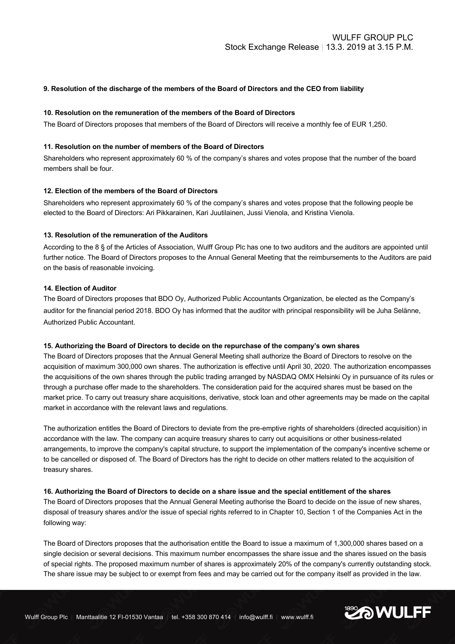# **9. Resolution of the discharge of the members of the Board of Directors and the CEO from liability**

## **10. Resolution on the remuneration of the members of the Board of Directors**

The Board of Directors proposes that members of the Board of Directors will receive a monthly fee of EUR 1,250.

# **11. Resolution on the number of members of the Board of Directors**

Shareholders who represent approximately 60 % of the company's shares and votes propose that the number of the board members shall be four.

## **12. Election of the members of the Board of Directors**

Shareholders who represent approximately 60 % of the company's shares and votes propose that the following people be elected to the Board of Directors: Ari Pikkarainen, Kari Juutilainen, Jussi Vienola, and Kristina Vienola.

## **13. Resolution of the remuneration of the Auditors**

According to the 8 § of the Articles of Association, Wulff Group Plc has one to two auditors and the auditors are appointed until further notice. The Board of Directors proposes to the Annual General Meeting that the reimbursements to the Auditors are paid on the basis of reasonable invoicing.

# **14. Election of Auditor**

The Board of Directors proposes that BDO Oy, Authorized Public Accountants Organization, be elected as the Company's auditor for the financial period 2018. BDO Oy has informed that the auditor with principal responsibility will be Juha Selänne, Authorized Public Accountant.

#### **15. Authorizing the Board of Directors to decide on the repurchase of the company's own shares**

The Board of Directors proposes that the Annual General Meeting shall authorize the Board of Directors to resolve on the acquisition of maximum 300,000 own shares. The authorization is effective until April 30, 2020. The authorization encompasses the acquisitions of the own shares through the public trading arranged by NASDAQ OMX Helsinki Oy in pursuance of its rules or through a purchase offer made to the shareholders. The consideration paid for the acquired shares must be based on the market price. To carry out treasury share acquisitions, derivative, stock loan and other agreements may be made on the capital market in accordance with the relevant laws and regulations.

The authorization entitles the Board of Directors to deviate from the pre-emptive rights of shareholders (directed acquisition) in accordance with the law. The company can acquire treasury shares to carry out acquisitions or other business-related arrangements, to improve the company's capital structure, to support the implementation of the company's incentive scheme or to be cancelled or disposed of. The Board of Directors has the right to decide on other matters related to the acquisition of treasury shares.

## **16. Authorizing the Board of Directors to decide on a share issue and the special entitlement of the shares**

The Board of Directors proposes that the Annual General Meeting authorise the Board to decide on the issue of new shares, disposal of treasury shares and/or the issue of special rights referred to in Chapter 10, Section 1 of the Companies Act in the following way:

The Board of Directors proposes that the authorisation entitle the Board to issue a maximum of 1,300,000 shares based on a single decision or several decisions. This maximum number encompasses the share issue and the shares issued on the basis of special rights. The proposed maximum number of shares is approximately 20% of the company's currently outstanding stock. The share issue may be subject to or exempt from fees and may be carried out for the company itself as provided in the law.

**EXAMULFF**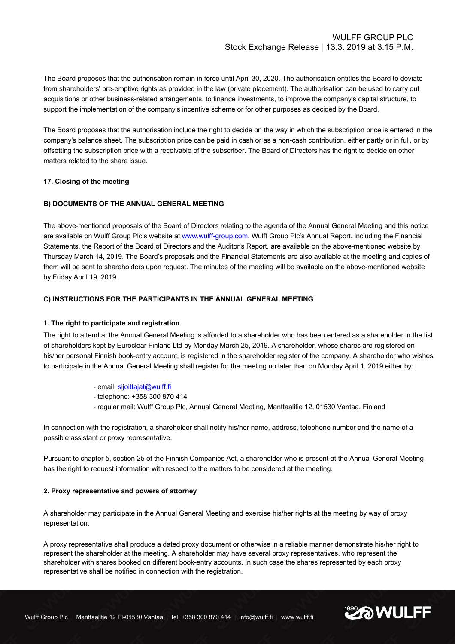The Board proposes that the authorisation remain in force until April 30, 2020. The authorisation entitles the Board to deviate from shareholders' pre-emptive rights as provided in the law (private placement). The authorisation can be used to carry out acquisitions or other business-related arrangements, to finance investments, to improve the company's capital structure, to support the implementation of the company's incentive scheme or for other purposes as decided by the Board.

The Board proposes that the authorisation include the right to decide on the way in which the subscription price is entered in the company's balance sheet. The subscription price can be paid in cash or as a non-cash contribution, either partly or in full, or by offsetting the subscription price with a receivable of the subscriber. The Board of Directors has the right to decide on other matters related to the share issue.

# **17. Closing of the meeting**

# **B) DOCUMENTS OF THE ANNUAL GENERAL MEETING**

The above-mentioned proposals of the Board of Directors relating to the agenda of the Annual General Meeting and this notice are available on Wulff Group Plc's website at www.wulff-group.com. Wulff Group Plc's Annual Report, including the Financial Statements, the Report of the Board of Directors and the Auditor's Report, are available on the above-mentioned website by Thursday March 14, 2019. The Board's proposals and the Financial Statements are also available at the meeting and copies of them will be sent to shareholders upon request. The minutes of the meeting will be available on the above-mentioned website by Friday April 19, 2019.

# **C) INSTRUCTIONS FOR THE PARTICIPANTS IN THE ANNUAL GENERAL MEETING**

# **1. The right to participate and registration**

The right to attend at the Annual General Meeting is afforded to a shareholder who has been entered as a shareholder in the list of shareholders kept by Euroclear Finland Ltd by Monday March 25, 2019. A shareholder, whose shares are registered on his/her personal Finnish book-entry account, is registered in the shareholder register of the company. A shareholder who wishes to participate in the Annual General Meeting shall register for the meeting no later than on Monday April 1, 2019 either by:

- email: sijoittajat@wulff.fi
- telephone: +358 300 870 414
- regular mail: Wulff Group Plc, Annual General Meeting, Manttaalitie 12, 01530 Vantaa, Finland

In connection with the registration, a shareholder shall notify his/her name, address, telephone number and the name of a possible assistant or proxy representative.

Pursuant to chapter 5, section 25 of the Finnish Companies Act, a shareholder who is present at the Annual General Meeting has the right to request information with respect to the matters to be considered at the meeting.

## **2. Proxy representative and powers of attorney**

A shareholder may participate in the Annual General Meeting and exercise his/her rights at the meeting by way of proxy representation.

A proxy representative shall produce a dated proxy document or otherwise in a reliable manner demonstrate his/her right to represent the shareholder at the meeting. A shareholder may have several proxy representatives, who represent the shareholder with shares booked on different book-entry accounts. In such case the shares represented by each proxy representative shall be notified in connection with the registration.